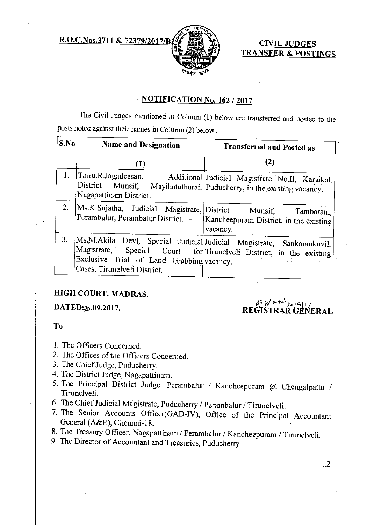**R.O.C.Nos.3711 & 72379/2017/B<sub>1</sub> ( Fig. )** ( CIVIL JUDGES



**TRANSFER & POSTINGS** 

### **NOTIFICATION No. 162 / 2017**

The Civil Judges mentioned in Column (1) below are transferred and posted to the posts noted against their names in Column (2) below:

| S.No | <b>Name and Designation</b>                                                                     | <b>Transferred and Posted as</b>                                                                                                             |
|------|-------------------------------------------------------------------------------------------------|----------------------------------------------------------------------------------------------------------------------------------------------|
|      | (1)                                                                                             | (2)                                                                                                                                          |
| 1.   | District Munsif, Mayiladuthurai, Puducherry, in the existing vacancy.<br>Nagapattinam District. | Thiru.R.Jagadeesan, Additional Judicial Magistrate No.II, Karaikal,                                                                          |
| 2.1  | Ms.K.Sujatha, Judicial Magistrate, District Munsif,<br>Perambalur, Perambalur District.         | Tambaram,<br>Kancheepuram District, in the existing<br>vacancy.                                                                              |
| 3.   | Exclusive Trial of Land Grabbing vacancy.<br>Cases, Tirunelveli District.                       | Ms.M.Akila Devi, Special Judicial Judicial Magistrate, Sankarankovil,<br>Magistrate, Special Court for Tirunelveli District, in the existing |

## **HIGH COURT, MADRAS.**

DATED: 20.09.2017.

# REGISTRA*R alPi* **ERAL**

### **To**

- 1. The Officers Concerned.
- 2. The Offices of the Officers Concerned.
- 3. The Chief Judge, Puducherry.
- 4. The District Judge, Nagapattinam.
- 5. The Principal District Judge, Perambalur / Kancheepuram @ Chengalpattu / Tirunelveli.
- 6. The Chief Judicial Magistrate, Puducherry / Perambalur / Tirunelveli.
- 7. The Senior Accounts Officer(GAD-IV), Office of the Principal Accountant General (A&E), Chennai-18.
- 8. The Treasury Officer, Nagapattinam / Perambalur / Kancheepuram / Tirunelveli.
- 9. The Director of Accountant and Treasuries, Puducherry